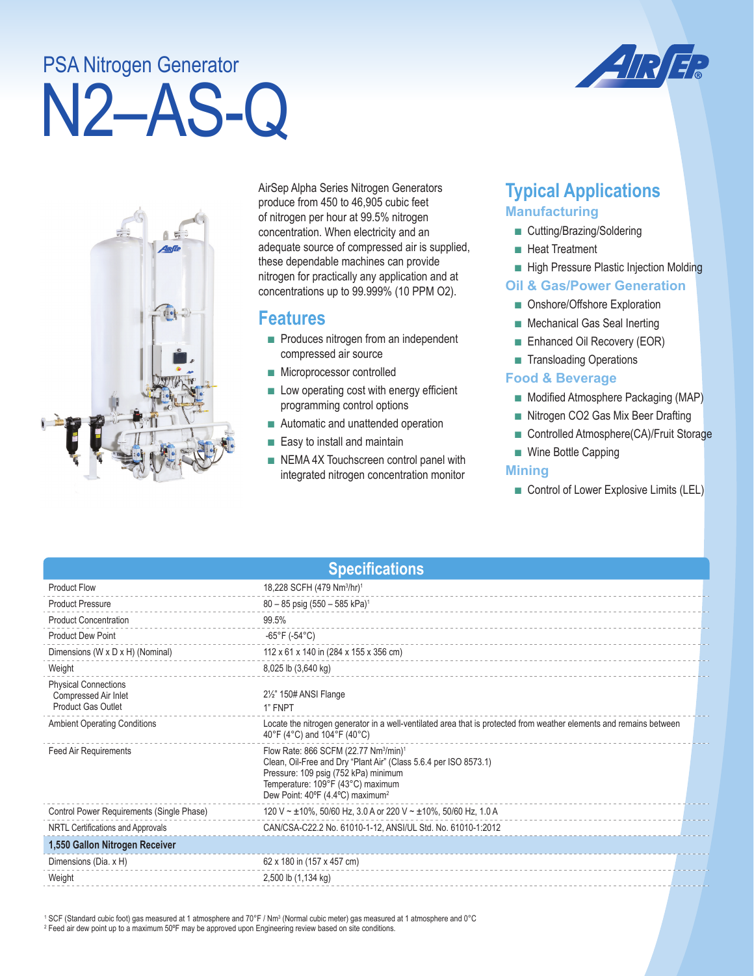# N2–AS-Q PSA Nitrogen Generator





AirSep Alpha Series Nitrogen Generators produce from 450 to 46,905 cubic feet of nitrogen per hour at 99.5% nitrogen concentration. When electricity and an adequate source of compressed air is supplied, these dependable machines can provide nitrogen for practically any application and at concentrations up to 99.999% (10 PPM O2).

## **Features**

- Produces nitrogen from an independent compressed air source
- Microprocessor controlled
- Low operating cost with energy efficient programming control options
- Automatic and unattended operation
- Easy to install and maintain
- NEMA 4X Touchscreen control panel with integrated nitrogen concentration monitor

# **Typical Applications Manufacturing**

- Cutting/Brazing/Soldering
- Heat Treatment
- High Pressure Plastic Injection Molding

### **Oil & Gas/Power Generation**

- Onshore/Offshore Exploration
- Mechanical Gas Seal Inerting
- Enhanced Oil Recovery (EOR)
- Transloading Operations

#### **Food & Beverage**

- Modified Atmosphere Packaging (MAP)
- Nitrogen CO2 Gas Mix Beer Drafting
- Controlled Atmosphere(CA)/Fruit Storage
- Wine Bottle Capping

#### **Mining**

■ Control of Lower Explosive Limits (LEL)

| <b>Specifications</b>                                                            |                                                                                                                                                                                                                                                                |  |  |
|----------------------------------------------------------------------------------|----------------------------------------------------------------------------------------------------------------------------------------------------------------------------------------------------------------------------------------------------------------|--|--|
| <b>Product Flow</b>                                                              | 18,228 SCFH (479 Nm <sup>3</sup> /hr) <sup>1</sup>                                                                                                                                                                                                             |  |  |
| <b>Product Pressure</b>                                                          | $80 - 85$ psig (550 - 585 kPa) <sup>1</sup>                                                                                                                                                                                                                    |  |  |
| <b>Product Concentration</b>                                                     | 99.5%                                                                                                                                                                                                                                                          |  |  |
| <b>Product Dew Point</b>                                                         | $-65^{\circ}$ F (-54 $^{\circ}$ C)                                                                                                                                                                                                                             |  |  |
| Dimensions (W x D x H) (Nominal)                                                 | 112 x 61 x 140 in (284 x 155 x 356 cm)                                                                                                                                                                                                                         |  |  |
| Weight                                                                           | 8,025 lb (3,640 kg)                                                                                                                                                                                                                                            |  |  |
| <b>Physical Connections</b><br>Compressed Air Inlet<br><b>Product Gas Outlet</b> | 2 <sup>1</sup> / <sub>2</sub> " 150# ANSI Flange<br>1" FNPT                                                                                                                                                                                                    |  |  |
| <b>Ambient Operating Conditions</b>                                              | Locate the nitrogen generator in a well-ventilated area that is protected from weather elements and remains between<br>40°F (4°C) and 104°F (40°C)                                                                                                             |  |  |
| Feed Air Requirements                                                            | Flow Rate: 866 SCFM (22.77 Nm <sup>3</sup> /min) <sup>1</sup><br>Clean, Oil-Free and Dry "Plant Air" (Class 5.6.4 per ISO 8573.1)<br>Pressure: 109 psig (752 kPa) minimum<br>Temperature: 109°F (43°C) maximum<br>Dew Point: 40°F (4.4°C) maximum <sup>2</sup> |  |  |
| Control Power Requirements (Single Phase)                                        | 120 V ~ ±10%, 50/60 Hz, 3.0 A or 220 V ~ ±10%, 50/60 Hz, 1.0 A                                                                                                                                                                                                 |  |  |
| NRTL Certifications and Approvals                                                | CAN/CSA-C22.2 No. 61010-1-12, ANSI/UL Std. No. 61010-1:2012                                                                                                                                                                                                    |  |  |
| 1,550 Gallon Nitrogen Receiver                                                   |                                                                                                                                                                                                                                                                |  |  |
| Dimensions (Dia. x H)                                                            | 62 x 180 in (157 x 457 cm)                                                                                                                                                                                                                                     |  |  |
| Weight                                                                           | 2,500 lb (1,134 kg)                                                                                                                                                                                                                                            |  |  |

 $^1$  SCF (Standard cubic foot) gas measured at 1 atmosphere and 70°F / Nm $^3$  (Normal cubic meter) gas measured at 1 atmosphere and 0°C 2 Feed air dew point up to a maximum 50ºF may be approved upon Engineering review based on site conditions.